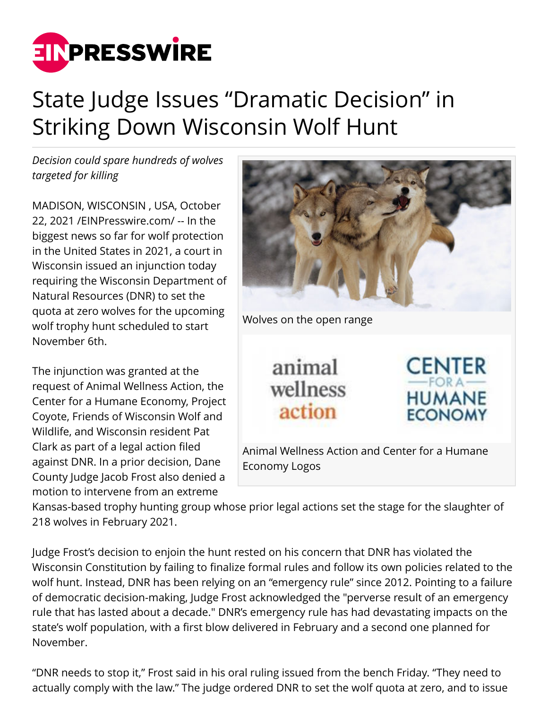

## State Judge Issues "Dramatic Decision" in Striking Down Wisconsin Wolf Hunt

*Decision could spare hundreds of wolves targeted for killing*

MADISON, WISCONSIN , USA, October 22, 2021 /[EINPresswire.com/](http://www.einpresswire.com) -- In the biggest news so far for wolf protection in the United States in 2021, a court in Wisconsin issued an injunction today requiring the Wisconsin Department of Natural Resources (DNR) to set the quota at zero wolves for the upcoming wolf trophy hunt scheduled to start November 6th.

The injunction was granted at the request of Animal Wellness Action, the Center for a Humane Economy, Project Coyote, Friends of Wisconsin Wolf and Wildlife, and Wisconsin resident Pat Clark as part of a legal action filed against DNR. In a prior decision, Dane County Judge Jacob Frost also denied a motion to intervene from an extreme



Kansas-based trophy hunting group whose prior legal actions set the stage for the slaughter of 218 wolves in February 2021.

Judge Frost's decision to enjoin the hunt rested on his concern that DNR has violated the Wisconsin Constitution by failing to finalize formal rules and follow its own policies related to the wolf hunt. Instead, DNR has been relying on an "emergency rule" since 2012. Pointing to a failure of democratic decision-making, Judge Frost acknowledged the "perverse result of an emergency rule that has lasted about a decade." DNR's emergency rule has had devastating impacts on the state's wolf population, with a first blow delivered in February and a second one planned for November.

"DNR needs to stop it," Frost said in his oral ruling issued from the bench Friday. "They need to actually comply with the law." The judge ordered DNR to set the wolf quota at zero, and to issue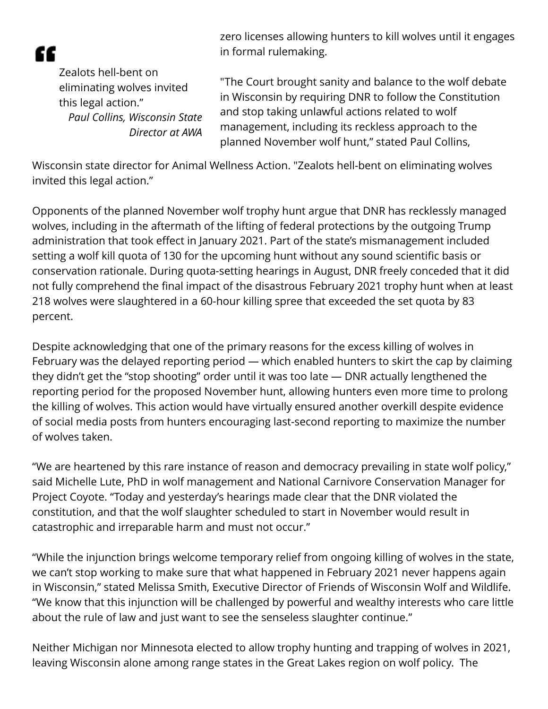"

zero licenses allowing hunters to kill wolves until it engages in formal rulemaking.

Zealots hell-bent on eliminating wolves invited this legal action." *Paul Collins, Wisconsin State Director at AWA*

"The Court brought sanity and balance to the wolf debate in Wisconsin by requiring DNR to follow the Constitution and stop taking unlawful actions related to wolf management, including its reckless approach to the planned November wolf hunt," stated Paul Collins,

Wisconsin state director for Animal Wellness Action. "Zealots hell-bent on eliminating wolves invited this legal action."

Opponents of the planned November wolf trophy hunt argue that DNR has recklessly managed wolves, including in the aftermath of the lifting of federal protections by the outgoing Trump administration that took effect in January 2021. Part of the state's mismanagement included setting a wolf kill quota of 130 for the upcoming hunt without any sound scientific basis or conservation rationale. During quota-setting hearings in August, DNR freely conceded that it did not fully comprehend the final impact of the disastrous February 2021 trophy hunt when at least 218 wolves were slaughtered in a 60-hour killing spree that exceeded the set quota by 83 percent.

Despite acknowledging that one of the primary reasons for the excess killing of wolves in February was the delayed reporting period — which enabled hunters to skirt the cap by claiming they didn't get the "stop shooting" order until it was too late — DNR actually lengthened the reporting period for the proposed November hunt, allowing hunters even more time to prolong the killing of wolves. This action would have virtually ensured another overkill despite evidence of social media posts from hunters encouraging last-second reporting to maximize the number of wolves taken.

"We are heartened by this rare instance of reason and democracy prevailing in state wolf policy," said Michelle Lute, PhD in wolf management and National Carnivore Conservation Manager for Project Coyote. "Today and yesterday's hearings made clear that the DNR violated the constitution, and that the wolf slaughter scheduled to start in November would result in catastrophic and irreparable harm and must not occur."

"While the injunction brings welcome temporary relief from ongoing killing of wolves in the state, we can't stop working to make sure that what happened in February 2021 never happens again in Wisconsin," stated Melissa Smith, Executive Director of Friends of Wisconsin Wolf and Wildlife. "We know that this injunction will be challenged by powerful and wealthy interests who care little about the rule of law and just want to see the senseless slaughter continue."

Neither Michigan nor Minnesota elected to allow trophy hunting and trapping of wolves in 2021, leaving Wisconsin alone among range states in the Great Lakes region on wolf policy. The